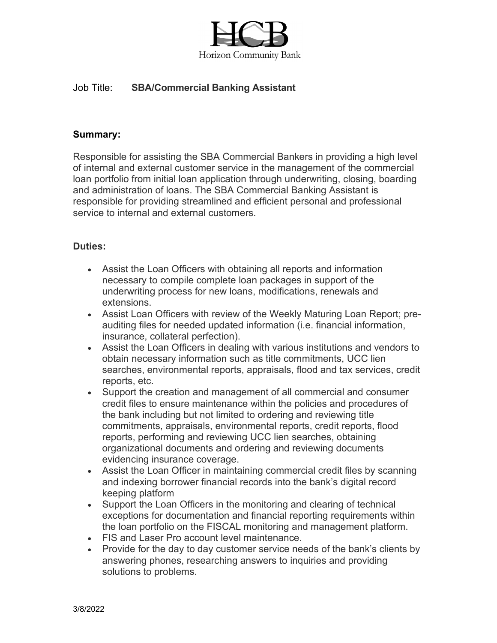

# Job Title: **SBA/Commercial Banking Assistant**

### **Summary:**

Responsible for assisting the SBA Commercial Bankers in providing a high level of internal and external customer service in the management of the commercial loan portfolio from initial loan application through underwriting, closing, boarding and administration of loans. The SBA Commercial Banking Assistant is responsible for providing streamlined and efficient personal and professional service to internal and external customers.

## **Duties:**

- Assist the Loan Officers with obtaining all reports and information necessary to compile complete loan packages in support of the underwriting process for new loans, modifications, renewals and extensions.
- Assist Loan Officers with review of the Weekly Maturing Loan Report; preauditing files for needed updated information (i.e. financial information, insurance, collateral perfection).
- Assist the Loan Officers in dealing with various institutions and vendors to obtain necessary information such as title commitments, UCC lien searches, environmental reports, appraisals, flood and tax services, credit reports, etc.
- Support the creation and management of all commercial and consumer credit files to ensure maintenance within the policies and procedures of the bank including but not limited to ordering and reviewing title commitments, appraisals, environmental reports, credit reports, flood reports, performing and reviewing UCC lien searches, obtaining organizational documents and ordering and reviewing documents evidencing insurance coverage.
- Assist the Loan Officer in maintaining commercial credit files by scanning and indexing borrower financial records into the bank's digital record keeping platform
- Support the Loan Officers in the monitoring and clearing of technical exceptions for documentation and financial reporting requirements within the loan portfolio on the FISCAL monitoring and management platform.
- FIS and Laser Pro account level maintenance.
- Provide for the day to day customer service needs of the bank's clients by answering phones, researching answers to inquiries and providing solutions to problems.